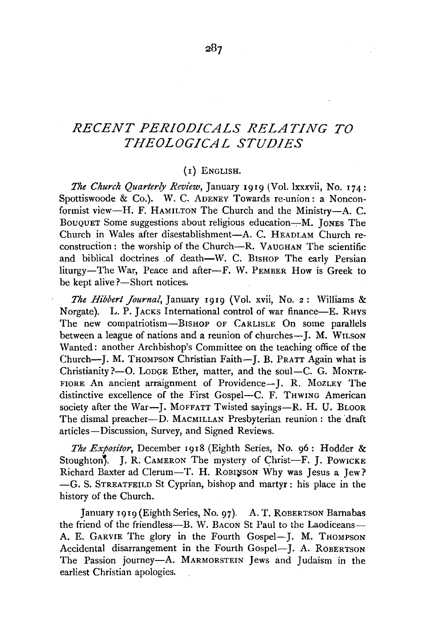## *RECENT PERIODICALS RELATING TO THEOLOGICAL STUDIES*

## (1) ENGLISH.

*The Church Quarterly Review,* January 1919 (Vol. lxxxvii, No. 174: Spottiswoode & Co.). W. C. ADENEY Towards re-union: a Nonconformist view-H. F. HAMILTON The Church and the Ministry-A. C. BOUQUET Some suggestions about religious education---M. JONES The Church in Wales after disestablishment-A. C. HEADLAM Church reconstruction: the worship of the Church-R. VAUGHAN The scientific and biblical doctrines of death-W. C. BISHOP The early Persian liturgy-The War, Peace and after-F. W. PEMBER How is Greek to be kept alive ?- Short notices.

*The Hibbert Journal,* January 1919 (Vol. xvii, No. 2: Williams & Norgate). L. P. JACKS International control of war finance-E. RHYS The new compatriotism-BISHOP OF CARLISLE On some parallels between a league of nations and a reunion of churches-J. M. WILSON Wanted: another Archbishop's Committee on the teaching office of the Church--J. M. THOMPSON Christian Faith--J. B. PRATT Again what is Christianity?-O. LODGE Ether, matter, and the soul-C. G. MONTE-FIORE An ancient arraignment of Providence-J. R. MozLEY The distinctive excellence of the First Gospel-C. F. THWING American society after the War-J. MOFFATT Twisted savings-R. H. U. BLOOR The dismal preacher-D. MACMILLAN Presbyterian reunion: the draft articles-Discussion, Survey, and Signed Reviews.

*The Expositor,* December 1918 (Eighth Series, No. 96: Hodder & Stoughton<sup>7</sup>. J. R. CAMERON The mystery of Christ-F. J. Powicke Richard Baxter ad Clerum-T. H. ROBINSON Why was Jesus a Jew? -G. S. STREATFEILD St Cyprian, bishop and martyr : his place in the history of the Church.

January 1919 (Eighth Series, No. 97). A. T. ROBERTSON Barnabas the friend of the friendless-B. W. BACON St Paul to the Laodiceans-A. E. GARVIE The glory in the Fourth Gospel-J. M. THOMPSON Accidental disarrangement in the Fourth Gospel-J. A. ROBERTSON The Passion journey-A. MARMORSTEIN Jews and Judaism in the earliest Christian apologies.